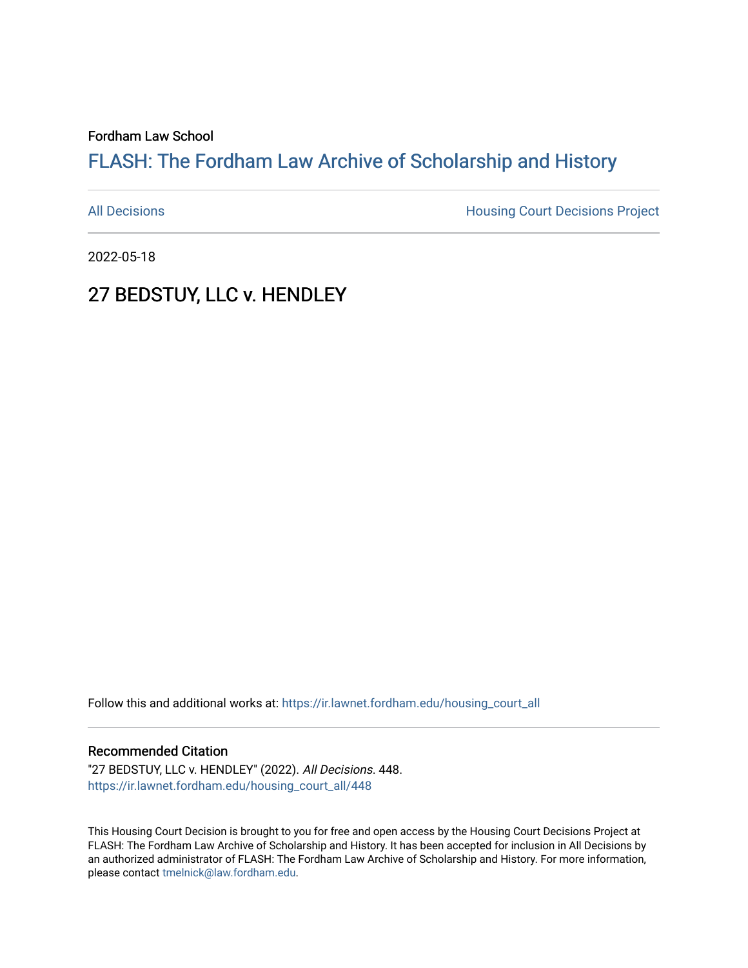#### Fordham Law School

# FLASH: The For[dham Law Archive of Scholarship and Hist](https://ir.lawnet.fordham.edu/)ory

[All Decisions](https://ir.lawnet.fordham.edu/housing_court_all) **All Decisions All Decisions** Project

2022-05-18

## 27 BEDSTUY, LLC v. HENDLEY

Follow this and additional works at: [https://ir.lawnet.fordham.edu/housing\\_court\\_all](https://ir.lawnet.fordham.edu/housing_court_all?utm_source=ir.lawnet.fordham.edu%2Fhousing_court_all%2F448&utm_medium=PDF&utm_campaign=PDFCoverPages)

#### Recommended Citation

"27 BEDSTUY, LLC v. HENDLEY" (2022). All Decisions. 448. [https://ir.lawnet.fordham.edu/housing\\_court\\_all/448](https://ir.lawnet.fordham.edu/housing_court_all/448?utm_source=ir.lawnet.fordham.edu%2Fhousing_court_all%2F448&utm_medium=PDF&utm_campaign=PDFCoverPages)

This Housing Court Decision is brought to you for free and open access by the Housing Court Decisions Project at FLASH: The Fordham Law Archive of Scholarship and History. It has been accepted for inclusion in All Decisions by an authorized administrator of FLASH: The Fordham Law Archive of Scholarship and History. For more information, please contact [tmelnick@law.fordham.edu](mailto:tmelnick@law.fordham.edu).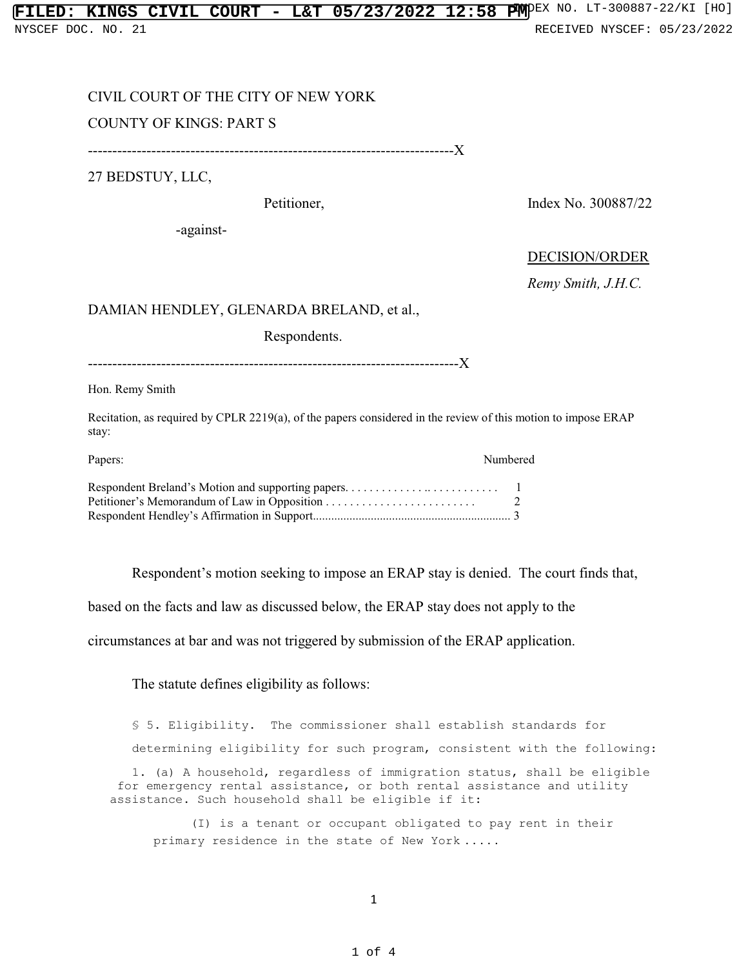## CIVIL COURT OF THE CITY OF NEW YORK

### COUNTY OF KINGS: PART S

---------------------------------------------------------------------------X

27 BEDSTUY, LLC,

Petitioner, Index No. 300887/22

-against-

### DECISION/ORDER

*Remy Smith, J.H.C.*

#### DAMIAN HENDLEY, GLENARDA BRELAND, et al.,

Respondents.

----------------------------------------------------------------------------X

Hon. Remy Smith

Recitation, as required by CPLR 2219(a), of the papers considered in the review of this motion to impose ERAP stay:

| Papers: | Numbered |  |
|---------|----------|--|
|         |          |  |
|         |          |  |
|         |          |  |

Respondent's motion seeking to impose an ERAP stay is denied. The court finds that,

based on the facts and law as discussed below, the ERAP stay does not apply to the

circumstances at bar and was not triggered by submission of the ERAP application.

The statute defines eligibility as follows:

§ 5. Eligibility. The commissioner shall establish standards for determining eligibility for such program, consistent with the following: 1. (a) A household, regardless of immigration status, shall be eligible for emergency rental assistance, or both rental assistance and utility assistance. Such household shall be eligible if it:

 (I) is a tenant or occupant obligated to pay rent in their primary residence in the state of New York . . . . .

1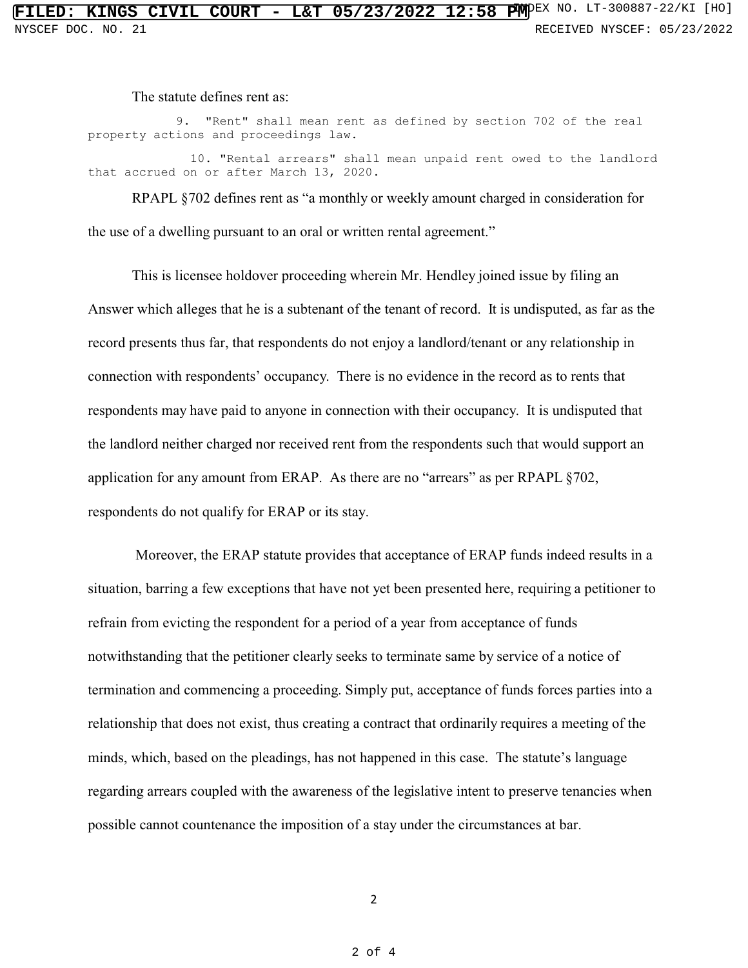The statute defines rent as:

9. "Rent" shall mean rent as defined by section 702 of the real property actions and proceedings law.

 10. "Rental arrears" shall mean unpaid rent owed to the landlord that accrued on or after March 13, 2020.

RPAPL §702 defines rent as "a monthly or weekly amount charged in consideration for the use of a dwelling pursuant to an oral or written rental agreement."

This is licensee holdover proceeding wherein Mr. Hendley joined issue by filing an Answer which alleges that he is a subtenant of the tenant of record. It is undisputed, as far as the record presents thus far, that respondents do not enjoy a landlord/tenant or any relationship in connection with respondents' occupancy. There is no evidence in the record as to rents that respondents may have paid to anyone in connection with their occupancy. It is undisputed that the landlord neither charged nor received rent from the respondents such that would support an application for any amount from ERAP. As there are no "arrears" as per RPAPL §702, respondents do not qualify for ERAP or its stay.

 Moreover, the ERAP statute provides that acceptance of ERAP funds indeed results in a situation, barring a few exceptions that have not yet been presented here, requiring a petitioner to refrain from evicting the respondent for a period of a year from acceptance of funds notwithstanding that the petitioner clearly seeks to terminate same by service of a notice of termination and commencing a proceeding. Simply put, acceptance of funds forces parties into a relationship that does not exist, thus creating a contract that ordinarily requires a meeting of the minds, which, based on the pleadings, has not happened in this case. The statute's language regarding arrears coupled with the awareness of the legislative intent to preserve tenancies when possible cannot countenance the imposition of a stay under the circumstances at bar.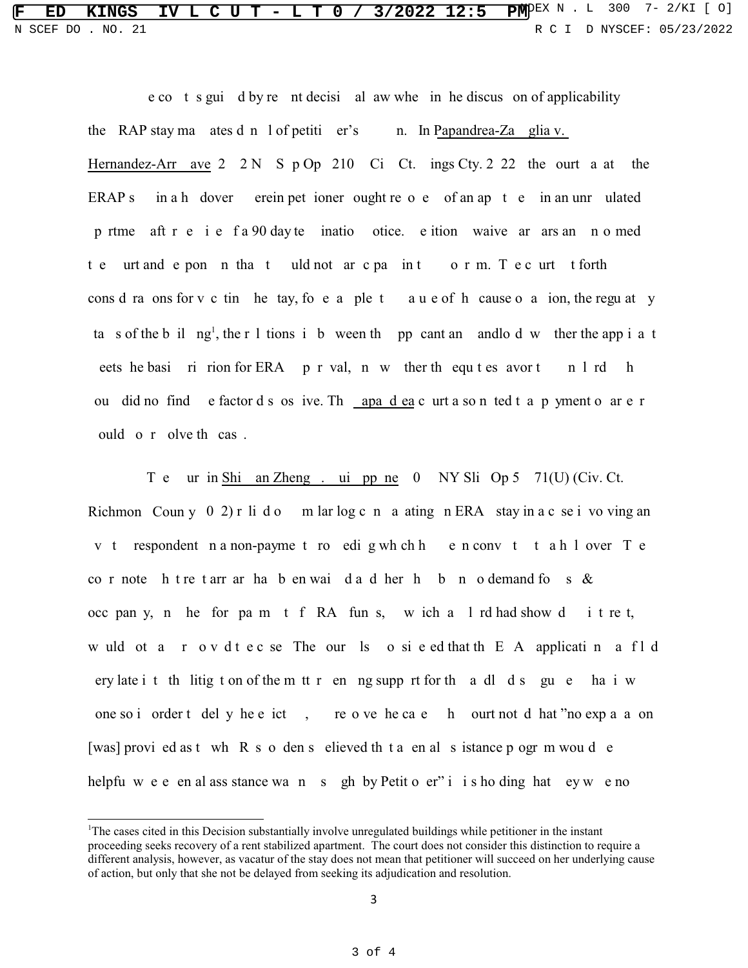**F ED KINGS IV L C U T - L T 0 / 3/2022 12:5 PMPEX N** . L 300 7- 2/KI [ 0] N SCEF DO . NO. 21 **R** C I D NYSCEF: 05/23/2022

> e co t s gui d by re nt decisi al aw whe in he discus on of applicability the RAP stay ma ates d n l of petiti er's n. In Papandrea-Za glia v. Hernandez-Arr ave  $2 \ 2 \ N \ S \ p \ Op \ 210 \ Ci \ Ct$ . ings Cty. 2 22 the ourt a at the ERAP s in a h dover erein pet ioner ought re o e of an ap t e in an unr ulated p rtme aft r e i e f a 90 day te inatio otice. e ition waive ar ars an n o med t e urt and e pon n that uld not ar c pa in t o r m. T e c urt t forth cons d ra ons for v c tin he tay, fo e a ple t a u e of h cause o a ion, the regu at y ta s of the b il ng<sup>1</sup>, the r 1 tions i b ween th pp cant an and lo d w ther the app i a t eets he basi ri rion for ERA p r val, n w ther th equ t es avor t n l rd h ou did no find e factor d s os ive. Th apa d ea c urt a so n ted t a p yment o ar e r ould o r olve th cas .

> T e ur in Shi an Zheng . ui pp ne 0 NY Sli Op 5 71(U) (Civ. Ct. Richmon Coun y  $0\ 2$ ) r li d o m lar log c n a ating n ERA stay in a c se i vo ving an v t respondent n a non-payme t ro edi g wh ch h e n conv t t a h l over T e co r note h t re t arr ar ha b en wai d a d her h b n o demand fo s & occ pan y, n he for pa m t f RA fun s, w ich a l rd had show d i t re t, w uld ot a r o v d t e c se The our ls o si e ed that th E A applicati n a f l d ery late i t th litig t on of the m tt r en ng supp rt for th a dl d s gu e ha i w one so i order t del y he e ict , re o ve he ca e h ourt not d hat "no exp a a on [was] provi ed as t wh R s o den s elieved th t a en al s istance p ogr m wou d e helpfu w e e en al ass stance wa n s gh by Petit o er" i i s ho ding hat ey w e no

<sup>1</sup>The cases cited in this Decision substantially involve unregulated buildings while petitioner in the instant proceeding seeks recovery of a rent stabilized apartment. The court does not consider this distinction to require a different analysis, however, as vacatur of the stay does not mean that petitioner will succeed on her underlying cause of action, but only that she not be delayed from seeking its adjudication and resolution.